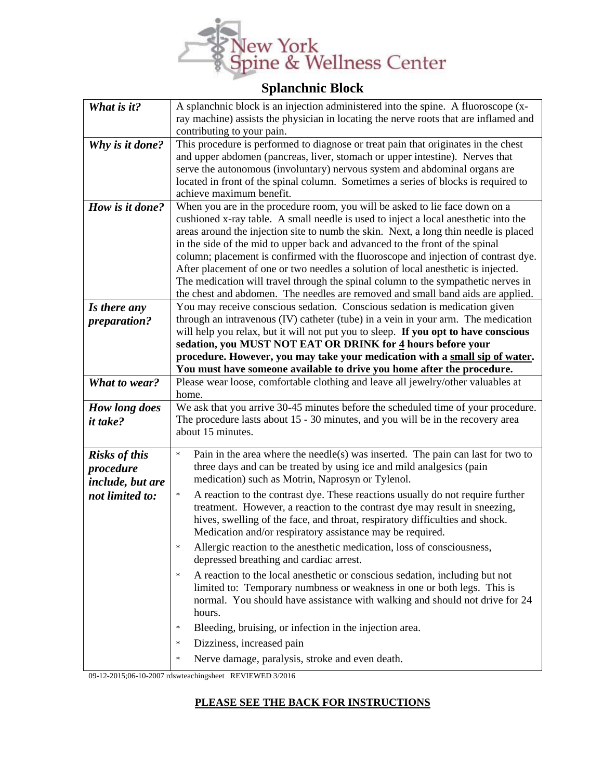

## **Splanchnic Block**

| What is it?          | A splanchnic block is an injection administered into the spine. A fluoroscope (x-<br>ray machine) assists the physician in locating the nerve roots that are inflamed and                                                                                                                                            |
|----------------------|----------------------------------------------------------------------------------------------------------------------------------------------------------------------------------------------------------------------------------------------------------------------------------------------------------------------|
|                      | contributing to your pain.                                                                                                                                                                                                                                                                                           |
| Why is it done?      | This procedure is performed to diagnose or treat pain that originates in the chest                                                                                                                                                                                                                                   |
|                      | and upper abdomen (pancreas, liver, stomach or upper intestine). Nerves that                                                                                                                                                                                                                                         |
|                      | serve the autonomous (involuntary) nervous system and abdominal organs are                                                                                                                                                                                                                                           |
|                      | located in front of the spinal column. Sometimes a series of blocks is required to                                                                                                                                                                                                                                   |
|                      | achieve maximum benefit.                                                                                                                                                                                                                                                                                             |
| How is it done?      | When you are in the procedure room, you will be asked to lie face down on a                                                                                                                                                                                                                                          |
|                      | cushioned x-ray table. A small needle is used to inject a local anesthetic into the                                                                                                                                                                                                                                  |
|                      | areas around the injection site to numb the skin. Next, a long thin needle is placed                                                                                                                                                                                                                                 |
|                      | in the side of the mid to upper back and advanced to the front of the spinal<br>column; placement is confirmed with the fluoroscope and injection of contrast dye.                                                                                                                                                   |
|                      | After placement of one or two needles a solution of local anesthetic is injected.                                                                                                                                                                                                                                    |
|                      | The medication will travel through the spinal column to the sympathetic nerves in                                                                                                                                                                                                                                    |
|                      | the chest and abdomen. The needles are removed and small band aids are applied.                                                                                                                                                                                                                                      |
| Is there any         | You may receive conscious sedation. Conscious sedation is medication given                                                                                                                                                                                                                                           |
| preparation?         | through an intravenous (IV) catheter (tube) in a vein in your arm. The medication                                                                                                                                                                                                                                    |
|                      | will help you relax, but it will not put you to sleep. If you opt to have conscious                                                                                                                                                                                                                                  |
|                      | sedation, you MUST NOT EAT OR DRINK for 4 hours before your                                                                                                                                                                                                                                                          |
|                      | procedure. However, you may take your medication with a small sip of water.                                                                                                                                                                                                                                          |
| <b>What to wear?</b> | You must have someone available to drive you home after the procedure.<br>Please wear loose, comfortable clothing and leave all jewelry/other valuables at                                                                                                                                                           |
|                      | home.                                                                                                                                                                                                                                                                                                                |
| How long does        | We ask that you arrive 30-45 minutes before the scheduled time of your procedure.                                                                                                                                                                                                                                    |
| <i>it take?</i>      | The procedure lasts about 15 - 30 minutes, and you will be in the recovery area                                                                                                                                                                                                                                      |
|                      | about 15 minutes.                                                                                                                                                                                                                                                                                                    |
| <b>Risks of this</b> | Pain in the area where the needle(s) was inserted. The pain can last for two to<br>$\star$                                                                                                                                                                                                                           |
| procedure            | three days and can be treated by using ice and mild analgesics (pain                                                                                                                                                                                                                                                 |
| include, but are     | medication) such as Motrin, Naprosyn or Tylenol.                                                                                                                                                                                                                                                                     |
| not limited to:      | A reaction to the contrast dye. These reactions usually do not require further<br>$\star$<br>treatment. However, a reaction to the contrast dye may result in sneezing,<br>hives, swelling of the face, and throat, respiratory difficulties and shock.<br>Medication and/or respiratory assistance may be required. |
|                      | Allergic reaction to the anesthetic medication, loss of consciousness,<br>depressed breathing and cardiac arrest.                                                                                                                                                                                                    |
|                      | A reaction to the local anesthetic or conscious sedation, including but not<br>$\star$<br>limited to: Temporary numbness or weakness in one or both legs. This is<br>normal. You should have assistance with walking and should not drive for 24<br>hours.                                                           |
|                      | Bleeding, bruising, or infection in the injection area.<br>$\star$                                                                                                                                                                                                                                                   |
|                      | Dizziness, increased pain<br>$\star$                                                                                                                                                                                                                                                                                 |
|                      | Nerve damage, paralysis, stroke and even death.<br>$\star$                                                                                                                                                                                                                                                           |

09-12-2015;06-10-2007 rdswteachingsheet REVIEWED 3/2016

## **PLEASE SEE THE BACK FOR INSTRUCTIONS**